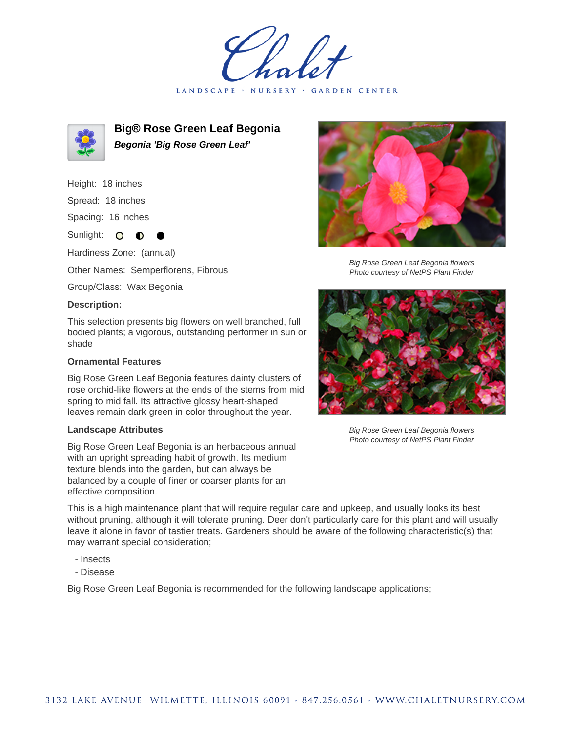LANDSCAPE · NURSERY · GARDEN CENTER



**Big® Rose Green Leaf Begonia Begonia 'Big Rose Green Leaf'**

Height: 18 inches

Spread: 18 inches

Spacing: 16 inches

Sunlight: O **O** 

Hardiness Zone: (annual)

Other Names: Semperflorens, Fibrous

Group/Class: Wax Begonia

## **Description:**

This selection presents big flowers on well branched, full bodied plants; a vigorous, outstanding performer in sun or shade

## **Ornamental Features**

Big Rose Green Leaf Begonia features dainty clusters of rose orchid-like flowers at the ends of the stems from mid spring to mid fall. Its attractive glossy heart-shaped leaves remain dark green in color throughout the year.

## **Landscape Attributes**

Big Rose Green Leaf Begonia is an herbaceous annual with an upright spreading habit of growth. Its medium texture blends into the garden, but can always be balanced by a couple of finer or coarser plants for an effective composition.



Big Rose Green Leaf Begonia flowers Photo courtesy of NetPS Plant Finder



Big Rose Green Leaf Begonia flowers Photo courtesy of NetPS Plant Finder

This is a high maintenance plant that will require regular care and upkeep, and usually looks its best without pruning, although it will tolerate pruning. Deer don't particularly care for this plant and will usually leave it alone in favor of tastier treats. Gardeners should be aware of the following characteristic(s) that may warrant special consideration;

- Insects
- Disease

Big Rose Green Leaf Begonia is recommended for the following landscape applications;